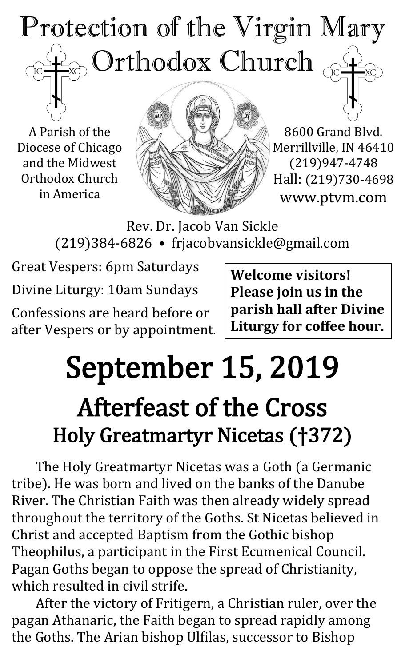## Protection of the Virgin Mary  $_{\odot}$  Orthodox Church  $_{\odot \rm \odot}$  $\overline{C}$

A Parish of the Diocese of Chicago and the Midwest Orthodox Church in America



8600 Grand Blvd. Merrillville, IN 46410 (219)947-4748 Hall: (219)730-4698 www.ptvm.com

Rev. Dr. Jacob Van Sickle (219)384-6826 • frjacobvansickle@gmail.com

Great Vespers: 6pm Saturdays Divine Liturgy: 10am Sundays Confessions are heard before or

after Vespers or by appointment.

**Welcome visitors! Please join us in the parish hall after Divine Liturgy for coffee hour.**

# September 15, 2019 Afterfeast of the Cross Holy Greatmartyr Nicetas (†372)

The Holy Greatmartyr Nicetas was a Goth (a Germanic tribe). He was born and lived on the banks of the Danube River. The Christian Faith was then already widely spread throughout the territory of the Goths. St Nicetas believed in Christ and accepted Baptism from the Gothic bishop Theophilus, a participant in the First Ecumenical Council. Pagan Goths began to oppose the spread of Christianity, which resulted in civil strife.

After the victory of Fritigern, a Christian ruler, over the pagan Athanaric, the Faith began to spread rapidly among the Goths. The Arian bishop Ulfilas, successor to Bishop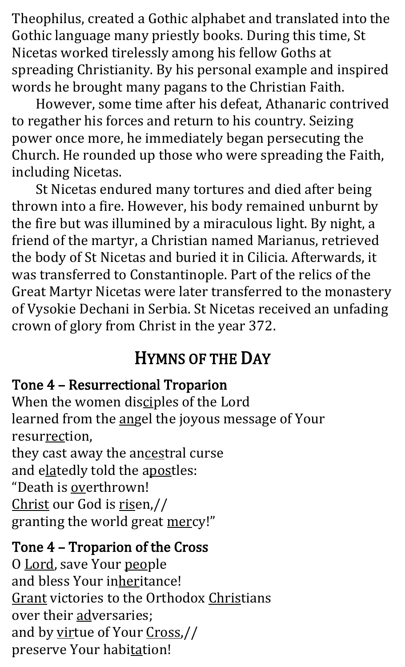Theophilus, created a Gothic alphabet and translated into the Gothic language many priestly books. During this time, St Nicetas worked tirelessly among his fellow Goths at spreading Christianity. By his personal example and inspired words he brought many pagans to the Christian Faith.

However, some time after his defeat, Athanaric contrived to regather his forces and return to his country. Seizing power once more, he immediately began persecuting the Church. He rounded up those who were spreading the Faith, including Nicetas.

St Nicetas endured many tortures and died after being thrown into a fire. However, his body remained unburnt by the fire but was illumined by a miraculous light. By night, a friend of the martyr, a Christian named Marianus, retrieved the body of St Nicetas and buried it in Cilicia. Afterwards, it was transferred to Constantinople. Part of the relics of the Great Martyr Nicetas were later transferred to the monastery of Vysokie Dechani in Serbia. St Nicetas received an unfading crown of glory from Christ in the year 372.

## HYMNS OF THE DAY

#### Tone 4 – Resurrectional Troparion

When the women disciples of the Lord learned from the angel the joyous message of Your resurrection, they cast away the ancestral curse and elatedly told the apostles:

"Death is overthrown! Christ our God is risen,// granting the world great mercy!"

### Tone 4 – Troparion of the Cross

O Lord, save Your people and bless Your inheritance! Grant victories to the Orthodox Christians over their adversaries; and by virtue of Your Cross,// preserve Your habitation!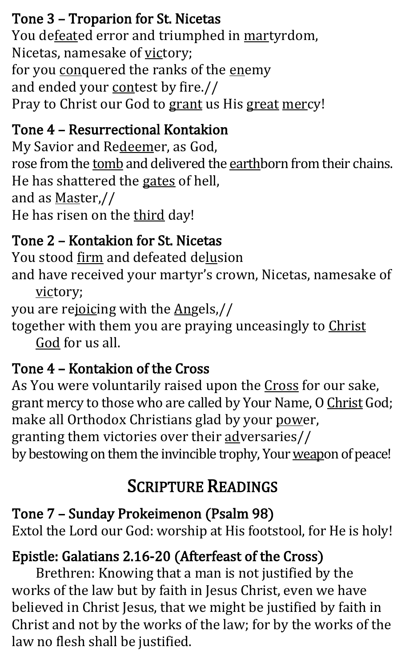## Tone 3 – Troparion for St. Nicetas

You defeated error and triumphed in martyrdom, Nicetas, namesake of victory; for you conquered the ranks of the enemy and ended your contest by fire.// Pray to Christ our God to grant us His great mercy!

## Tone 4 – Resurrectional Kontakion

My Savior and Redeemer, as God, rose from the tomb and delivered the earthborn from their chains. He has shattered the gates of hell, and as Master,// He has risen on the third day!

## Tone 2 – Kontakion for St. Nicetas

You stood firm and defeated delusion and have received your martyr's crown, Nicetas, namesake of victory;

you are rejoicing with the Angels,// together with them you are praying unceasingly to Christ

God for us all.

## Tone 4 – Kontakion of the Cross

As You were voluntarily raised upon the Cross for our sake, grant mercy to those who are called by Your Name, O Christ God; make all Orthodox Christians glad by your power, granting them victories over their adversaries// by bestowing on them the invincible trophy, Your weapon of peace!

## SCRIPTURE READINGS

## Tone 7 – Sunday Prokeimenon (Psalm 98)

Extol the Lord our God: worship at His footstool, for He is holy!

## Epistle: Galatians 2.16-20 (Afterfeast of the Cross)

Brethren: Knowing that a man is not justified by the works of the law but by faith in Jesus Christ, even we have believed in Christ Jesus, that we might be justified by faith in Christ and not by the works of the law; for by the works of the law no flesh shall be justified.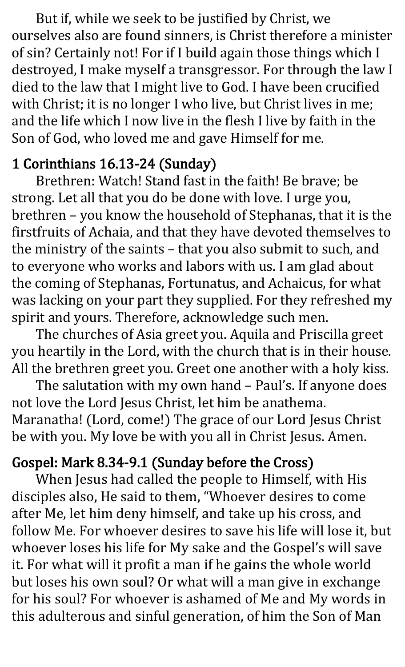But if, while we seek to be justified by Christ, we ourselves also are found sinners, is Christ therefore a minister of sin? Certainly not! For if I build again those things which I destroyed, I make myself a transgressor. For through the law I died to the law that I might live to God. I have been crucified with Christ; it is no longer I who live, but Christ lives in me; and the life which I now live in the flesh I live by faith in the Son of God, who loved me and gave Himself for me.

### 1 Corinthians 16.13-24 (Sunday)

Brethren: Watch! Stand fast in the faith! Be brave; be strong. Let all that you do be done with love. I urge you, brethren – you know the household of Stephanas, that it is the firstfruits of Achaia, and that they have devoted themselves to the ministry of the saints – that you also submit to such, and to everyone who works and labors with us. I am glad about the coming of Stephanas, Fortunatus, and Achaicus, for what was lacking on your part they supplied. For they refreshed my spirit and yours. Therefore, acknowledge such men.

The churches of Asia greet you. Aquila and Priscilla greet you heartily in the Lord, with the church that is in their house. All the brethren greet you. Greet one another with a holy kiss.

The salutation with my own hand – Paul's. If anyone does not love the Lord Jesus Christ, let him be anathema. Maranatha! (Lord, come!) The grace of our Lord Jesus Christ be with you. My love be with you all in Christ Jesus. Amen.

## Gospel: Mark 8.34-9.1 (Sunday before the Cross)

When Jesus had called the people to Himself, with His disciples also, He said to them, "Whoever desires to come after Me, let him deny himself, and take up his cross, and follow Me. For whoever desires to save his life will lose it, but whoever loses his life for My sake and the Gospel's will save it. For what will it profit a man if he gains the whole world but loses his own soul? Or what will a man give in exchange for his soul? For whoever is ashamed of Me and My words in this adulterous and sinful generation, of him the Son of Man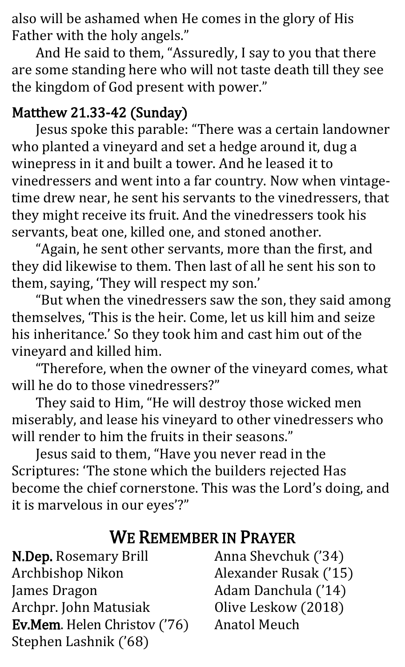also will be ashamed when He comes in the glory of His Father with the holy angels."

And He said to them, "Assuredly, I say to you that there are some standing here who will not taste death till they see the kingdom of God present with power."

### Matthew 21.33-42 (Sunday)

Jesus spoke this parable: "There was a certain landowner who planted a vineyard and set a hedge around it, dug a winepress in it and built a tower. And he leased it to vinedressers and went into a far country. Now when vintagetime drew near, he sent his servants to the vinedressers, that they might receive its fruit. And the vinedressers took his servants, beat one, killed one, and stoned another.

"Again, he sent other servants, more than the first, and they did likewise to them. Then last of all he sent his son to them, saying, 'They will respect my son.'

"But when the vinedressers saw the son, they said among themselves, 'This is the heir. Come, let us kill him and seize his inheritance.' So they took him and cast him out of the vineyard and killed him.

"Therefore, when the owner of the vineyard comes, what will he do to those vinedressers?"

They said to Him, "He will destroy those wicked men miserably, and lease his vineyard to other vinedressers who will render to him the fruits in their seasons."

Jesus said to them, "Have you never read in the Scriptures: 'The stone which the builders rejected Has become the chief cornerstone. This was the Lord's doing, and it is marvelous in our eyes'?"

## WE REMEMBER IN PRAYER

N.Dep. Rosemary Brill Archbishop Nikon James Dragon Archpr. John Matusiak Ev.Mem. Helen Christov ('76) Stephen Lashnik ('68)

Anna Shevchuk ('34) Alexander Rusak ('15) Adam Danchula ('14) Olive Leskow (2018) Anatol Meuch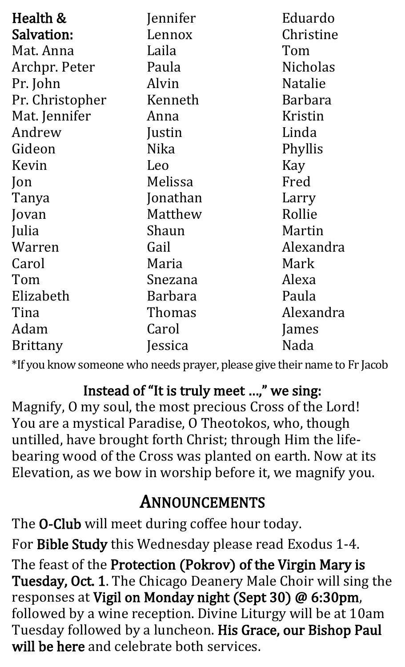| Health &        | Jennifer    | Eduardo        |
|-----------------|-------------|----------------|
| Salvation:      | Lennox      | Christine      |
| Mat. Anna       | Laila       | Tom            |
| Archpr. Peter   | Paula       | Nicholas       |
| Pr. John        | Alvin       | <b>Natalie</b> |
| Pr. Christopher | Kenneth     | Barbara        |
| Mat. Jennifer   | Anna        | Kristin        |
| Andrew          | Justin      | Linda          |
| Gideon          | <b>Nika</b> | Phyllis        |
| Kevin           | Leo         | Kay            |
| $\mathsf{lon}$  | Melissa     | Fred           |
| Tanya           | Jonathan    | Larry          |
| Jovan           | Matthew     | Rollie         |
| Julia           | Shaun       | Martin         |
| Warren          | Gail        | Alexandra      |
| Carol           | Maria       | Mark           |
| Tom             | Snezana     | Alexa          |
| Elizabeth       | Barbara     | Paula          |
| Tina            | Thomas      | Alexandra      |
| Adam            | Carol       | James          |
| <b>Brittany</b> | Jessica     | Nada           |

\*If you know someone who needs prayer, please give their name to Fr Jacob

Instead of "It is truly meet …," we sing: Magnify, O my soul, the most precious Cross of the Lord! You are a mystical Paradise, O Theotokos, who, though untilled, have brought forth Christ; through Him the lifebearing wood of the Cross was planted on earth. Now at its Elevation, as we bow in worship before it, we magnify you.

## ANNOUNCEMENTS

The O-Club will meet during coffee hour today. For Bible Study this Wednesday please read Exodus 1-4. The feast of the Protection (Pokrov) of the Virgin Mary is Tuesday, Oct. 1. The Chicago Deanery Male Choir will sing the responses at Vigil on Monday night (Sept 30) @ 6:30pm, followed by a wine reception. Divine Liturgy will be at 10am Tuesday followed by a luncheon. His Grace, our Bishop Paul will be here and celebrate both services.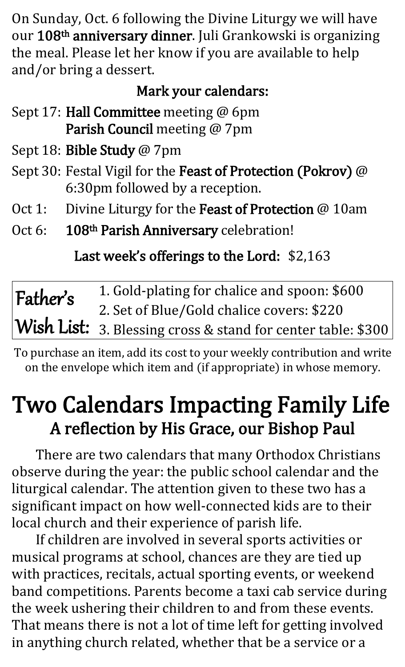On Sunday, Oct. 6 following the Divine Liturgy we will have our 108<sup>th</sup> anniversary dinner. Juli Grankowski is organizing the meal. Please let her know if you are available to help and/or bring a dessert.

### Mark your calendars:

- Sept 17: Hall Committee meeting @ 6pm Parish Council meeting @ 7pm
- Sept 18: Bible Study @ 7pm
- Sept 30: Festal Vigil for the Feast of Protection (Pokrov) @ 6:30pm followed by a reception.
- Oct 1: Divine Liturgy for the Feast of Protection @ 10am
- Oct 6: 108<sup>th</sup> Parish Anniversary celebration!

Last week's offerings to the Lord: \$2,163

| Father's | 1. Gold-plating for chalice and spoon: \$600                 |
|----------|--------------------------------------------------------------|
|          | 2. Set of Blue/Gold chalice covers: \$220                    |
|          | Wish List: 3. Blessing cross & stand for center table: \$300 |

To purchase an item, add its cost to your weekly contribution and write on the envelope which item and (if appropriate) in whose memory.

## Two Calendars Impacting Family Life A reflection by His Grace, our Bishop Paul

There are two calendars that many Orthodox Christians observe during the year: the public school calendar and the liturgical calendar. The attention given to these two has a significant impact on how well-connected kids are to their local church and their experience of parish life.

If children are involved in several sports activities or musical programs at school, chances are they are tied up with practices, recitals, actual sporting events, or weekend band competitions. Parents become a taxi cab service during the week ushering their children to and from these events. That means there is not a lot of time left for getting involved in anything church related, whether that be a service or a